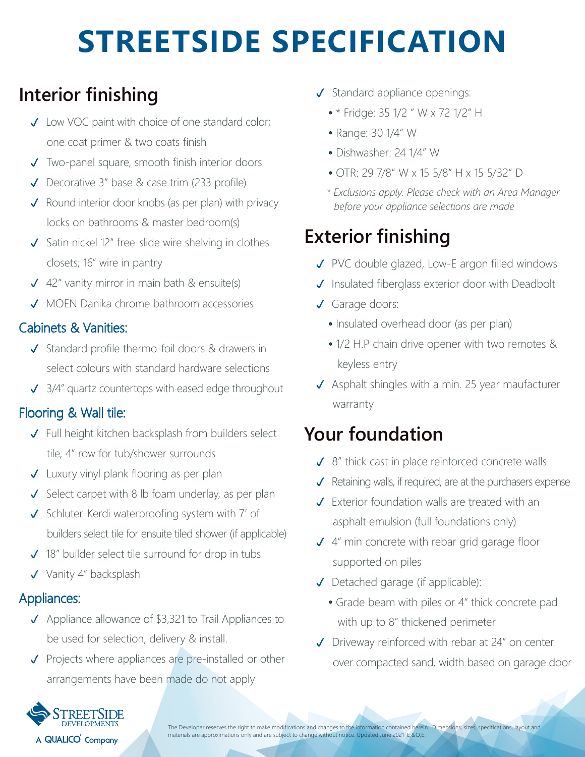# **STREETSIDE SPECIFICATION**

## **Interior finishing**

- ◆ Low VOC paint with choice of one standard color; one coat primer & two coats finish
- Two-panel square, smooth finish interior doors
- Decorative 3" base & case trim (233 profile)
- $\sqrt{\phantom{a}}$  Round interior door knobs (as per plan) with privacy locks on bathrooms & master bedroom(s)
- $\checkmark$  Satin nickel 12" free-slide wire shelving in clothes closets; 16" wire in pantry
- $\sqrt{42}$ " vanity mirror in main bath & ensuite(s)
- ◆ MOEN Danika chrome bathroom accessories

### Cabinets & Vanities:

- $\checkmark$  Standard profile thermo-foil doors & drawers in select colours with standard hardware selections
- 3/4" quartz countertops with eased edge throughout

### Flooring & Wall tile:

- Full height kitchen backsplash from builders select tile; 4" row for tub/shower surrounds
- Luxury vinyl plank flooring as per plan
- $\checkmark$  Select carpet with 8 lb foam underlay, as per plan
- ◆ Schluter-Kerdi waterproofing system with 7' of builders select tile for ensuite tiled shower (if applicable)
- ◆ 18" builder select tile surround for drop in tubs
- V Vanity 4" backsplash

### Appliances:

- ◆ Appliance allowance of \$3,321 to Trail Appliances to be used for selection, delivery & install.
- $\sqrt{\phantom{a}}$  Projects where appliances are pre-installed or other arrangements have been made do not apply
- $\checkmark$  Standard appliance openings:
	- \* Fridge: 35 1/2 " W x 72 1/2" H
	- Range: 30 1/4" W
	- Dishwasher: 24 1/4" W
	- OTR: 29 7/8" W x 15 5/8" H x 15 5/32" D
	- *\* Exclusions apply. Please check with an Area Manager before your appliance selections are made*

# **Exterior finishing**

- PVC double glazed, Low-E argon filled windows
- $J$  Insulated fiberglass exterior door with Deadbolt
- Garage doors:
	- Insulated overhead door (as per plan)
	- 1/2 H.P chain drive opener with two remotes & keyless entry
- $\sqrt{\phantom{a}}$  Asphalt shingles with a min. 25 year maufacturer warranty

### **Your foundation**

- 8" thick cast in place reinforced concrete walls
- $\sqrt{\phantom{a}}$  Retaining walls, if required, are at the purchasers expense
- Exterior foundation walls are treated with an asphalt emulsion (full foundations only)
- 4" min concrete with rebar grid garage floor supported on piles
- Detached garage (if applicable):
	- Grade beam with piles or 4" thick concrete pad with up to 8" thickened perimeter
- Driveway reinforced with rebar at 24" on center over compacted sand, width based on garage door